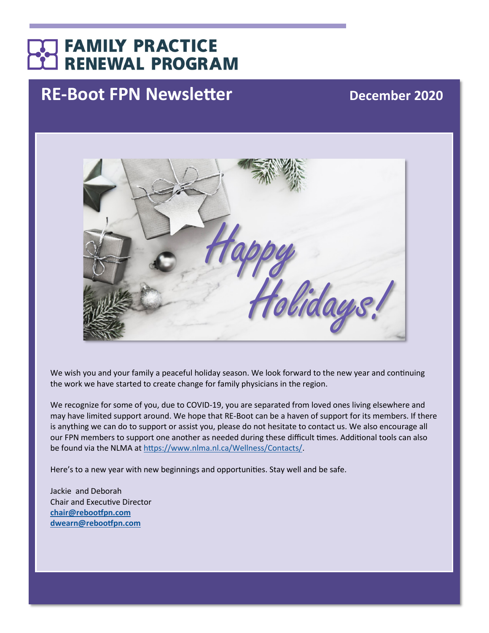# **FAMILY PRACTICE RENEWAL PROGRAM**

# **RE-Boot FPN Newsletter December 2020**



We wish you and your family a peaceful holiday season. We look forward to the new year and continuing the work we have started to create change for family physicians in the region.

We recognize for some of you, due to COVID-19, you are separated from loved ones living elsewhere and may have limited support around. We hope that RE-Boot can be a haven of support for its members. If there is anything we can do to support or assist you, please do not hesitate to contact us. We also encourage all our FPN members to support one another as needed during these difficult times. Additional tools can also be found via the NLMA at [https://www.nlma.nl.ca/Wellness/Contacts/.](https://www.nlma.nl.ca/Wellness/Contacts/)

Here's to a new year with new beginnings and opportunities. Stay well and be safe.

Jackie and Deborah Chair and Executive Director **[chair@rebootfpn.com](mailto:chair@rebootfpn.com) [dwearn@rebootfpn.com](mailto:dwearn@rebootfpn.com)**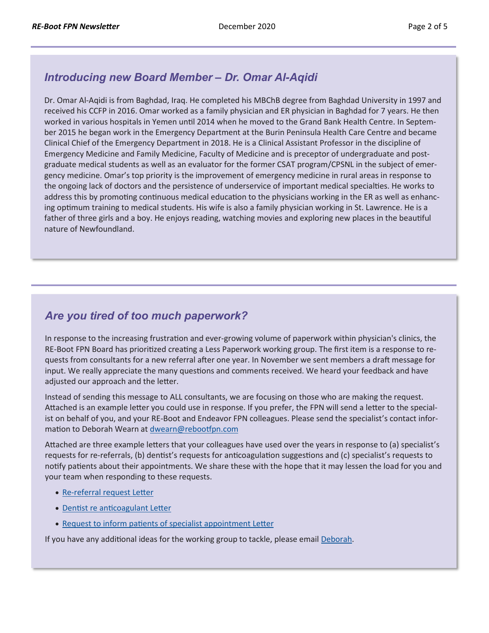#### *Introducing new Board Member – Dr. Omar Al-Aqidi*

Dr. Omar Al-Aqidi is from Baghdad, Iraq. He completed his MBChB degree from Baghdad University in 1997 and received his CCFP in 2016. Omar worked as a family physician and ER physician in Baghdad for 7 years. He then worked in various hospitals in Yemen until 2014 when he moved to the Grand Bank Health Centre. In September 2015 he began work in the Emergency Department at the Burin Peninsula Health Care Centre and became Clinical Chief of the Emergency Department in 2018. He is a Clinical Assistant Professor in the discipline of Emergency Medicine and Family Medicine, Faculty of Medicine and is preceptor of undergraduate and postgraduate medical students as well as an evaluator for the former CSAT program/CPSNL in the subject of emergency medicine. Omar's top priority is the improvement of emergency medicine in rural areas in response to the ongoing lack of doctors and the persistence of underservice of important medical specialties. He works to address this by promoting continuous medical education to the physicians working in the ER as well as enhancing optimum training to medical students. His wife is also a family physician working in St. Lawrence. He is a father of three girls and a boy. He enjoys reading, watching movies and exploring new places in the beautiful nature of Newfoundland.

#### *Are you tired of too much paperwork?*

In response to the increasing frustration and ever-growing volume of paperwork within physician's clinics, the RE-Boot FPN Board has prioritized creating a Less Paperwork working group. The first item is a response to requests from consultants for a new referral after one year. In November we sent members a draft message for input. We really appreciate the many questions and comments received. We heard your feedback and have adjusted our approach and the letter.

Instead of sending this message to ALL consultants, we are focusing on those who are making the request. Attached is an example letter you could use in response. If you prefer, the FPN will send a letter to the specialist on behalf of you, and your RE-Boot and Endeavor FPN colleagues. Please send the specialist's contact information to Deborah Wearn at [dwearn@rebootfpn.com](mailto:dawearn@rebootfpn.com)

Attached are three example letters that your colleagues have used over the years in response to (a) specialist's requests for re-referrals, (b) dentist's requests for anticoagulation suggestions and (c) specialist's requests to notify patients about their appointments. We share these with the hope that it may lessen the load for you and your team when responding to these requests.

- Re-[referral request Letter](http://familypracticerenewalnl.ca/wp-content/uploads/2020/12/2020.12.02_EXAMPLE_Re-referral_request.pdf)
- [Dentist re anticoagulant Letter](http://familypracticerenewalnl.ca/wp-content/uploads/2020/12/2020.12.02_EXAMPLE_Dentist_re_anticoagulant.pdf)
- [Request to inform patients of specialist appointment Letter](http://familypracticerenewalnl.ca/wp-content/uploads/2020/12/2020.12.02_EXAMPLE_Request_to_inform_patient_of_specialist_appt.pdf)

If you have any additional ideas for the working group to tackle, please email Deborah.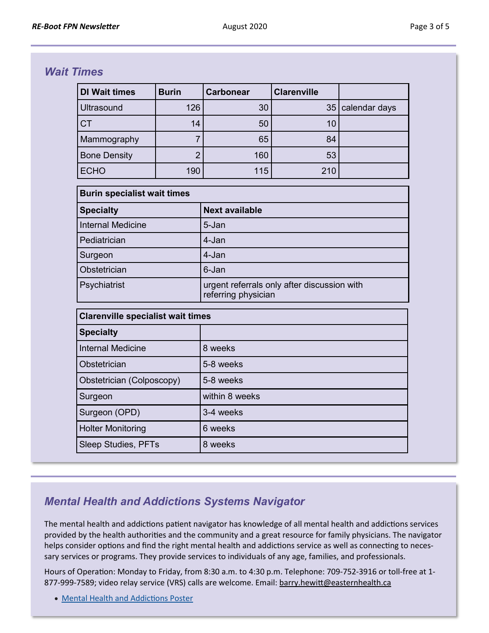#### *Wait Times*

| <b>DI Wait times</b>                     | <b>Burin</b>   | <b>Carbonear</b>                                                   | <b>Clarenville</b> |               |
|------------------------------------------|----------------|--------------------------------------------------------------------|--------------------|---------------|
| <b>Ultrasound</b>                        | 126            | 30                                                                 | 35                 | calendar days |
| <b>CT</b>                                | 14             | 50                                                                 | 10                 |               |
| Mammography                              | 7              | 65                                                                 | 84                 |               |
| <b>Bone Density</b>                      | $\overline{2}$ | 160                                                                | 53                 |               |
| <b>ECHO</b>                              | 190            | 115                                                                | 210                |               |
| <b>Burin specialist wait times</b>       |                |                                                                    |                    |               |
| <b>Specialty</b>                         |                | <b>Next available</b>                                              |                    |               |
| <b>Internal Medicine</b>                 |                | 5-Jan                                                              |                    |               |
| Pediatrician                             |                | 4-Jan                                                              |                    |               |
| Surgeon                                  |                | 4-Jan                                                              |                    |               |
| Obstetrician                             |                | 6-Jan                                                              |                    |               |
| Psychiatrist                             |                | urgent referrals only after discussion with<br>referring physician |                    |               |
| <b>Clarenville specialist wait times</b> |                |                                                                    |                    |               |
| <b>Specialty</b>                         |                |                                                                    |                    |               |
| <b>Internal Medicine</b>                 |                | 8 weeks                                                            |                    |               |
| Obstetrician                             |                | 5-8 weeks                                                          |                    |               |
| Obstetrician (Colposcopy)                |                | 5-8 weeks                                                          |                    |               |
| Surgeon                                  |                | within 8 weeks                                                     |                    |               |
| Surgeon (OPD)                            |                | 3-4 weeks                                                          |                    |               |
| <b>Holter Monitoring</b>                 |                | 6 weeks                                                            |                    |               |
| <b>Sleep Studies, PFTs</b>               |                | 8 weeks                                                            |                    |               |

## *Mental Health and Addictions Systems Navigator*

The mental health and addictions patient navigator has knowledge of all mental health and addictions services provided by the health authorities and the community and a great resource for family physicians. The navigator helps consider options and find the right mental health and addictions service as well as connecting to necessary services or programs. They provide services to individuals of any age, families, and professionals.

Hours of Operation: Monday to Friday, from 8:30 a.m. to 4:30 p.m. Telephone: 709-752-3916 or toll-free at 1 877-999-7589; video relay service (VRS) calls are welcome. Email: [barry.hewitt@easternhealth.ca](mailto:barry.hewitt@easternhealth.ca)

• [Mental Health and Addictions Poster](http://familypracticerenewalnl.ca/wp-content/uploads/2020/12/MHA-Services-Directory-Eastern-Region.pdf)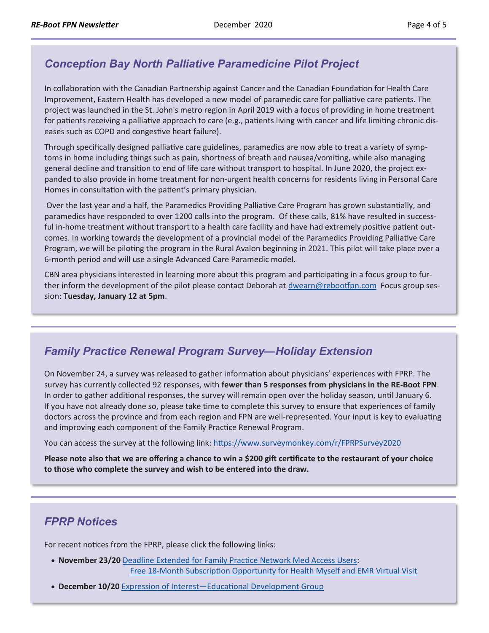#### *Conception Bay North Palliative Paramedicine Pilot Project*

In collaboration with the Canadian Partnership against Cancer and the Canadian Foundation for Health Care Improvement, Eastern Health has developed a new model of paramedic care for palliative care patients. The project was launched in the St. John's metro region in April 2019 with a focus of providing in home treatment for patients receiving a palliative approach to care (e.g., patients living with cancer and life limiting chronic diseases such as COPD and congestive heart failure).

Through specifically designed palliative care guidelines, paramedics are now able to treat a variety of symptoms in home including things such as pain, shortness of breath and nausea/vomiting, while also managing general decline and transition to end of life care without transport to hospital. In June 2020, the project expanded to also provide in home treatment for non-urgent health concerns for residents living in Personal Care Homes in consultation with the patient's primary physician.

Over the last year and a half, the Paramedics Providing Palliative Care Program has grown substantially, and paramedics have responded to over 1200 calls into the program. Of these calls, 81% have resulted in successful in-home treatment without transport to a health care facility and have had extremely positive patient outcomes. In working towards the development of a provincial model of the Paramedics Providing Palliative Care Program, we will be piloting the program in the Rural Avalon beginning in 2021. This pilot will take place over a 6-month period and will use a single Advanced Care Paramedic model.

CBN area physicians interested in learning more about this program and participating in a focus group to further inform the development of the pilot please contact Deborah at [dwearn@rebootfpn.com](mailto:dawearn@rebootfpn.com?subject=Conception%20Bay%20North%20Palliative%20Paramedicine%20Pilot%20Project) Focus group session: **Tuesday, January 12 at 5pm**.

## *Family Practice Renewal Program Survey—Holiday Extension*

On November 24, a survey was released to gather information about physicians' experiences with FPRP. The survey has currently collected 92 responses, with **fewer than 5 responses from physicians in the RE-Boot FPN**. In order to gather additional responses, the survey will remain open over the holiday season, until January 6. If you have not already done so, please take time to complete this survey to ensure that experiences of family doctors across the province and from each region and FPN are well-represented. Your input is key to evaluating and improving each component of the Family Practice Renewal Program.

You can access the survey at the following link:<https://www.surveymonkey.com/r/FPRPSurvey2020>

**Please note also that we are offering a chance to win a \$200 gift certificate to the restaurant of your choice to those who complete the survey and wish to be entered into the draw.**

## *FPRP Notices*

For recent notices from the FPRP, please click the following links:

- **November 23/20** [Deadline Extended for Family Practice Network Med Access Users:](http://familypracticerenewalnl.ca/wp-content/uploads/2020/12/2020.11.23-Deadline_extended_Health_Myself_and_EMR_Virtual_Visit-1.pdf) Free 18-[Month Subscription Opportunity for Health Myself and EMR Virtual Visit](http://familypracticerenewalnl.ca/wp-content/uploads/2020/12/2020.11.23-Deadline_extended_Health_Myself_and_EMR_Virtual_Visit-1.pdf)
- **December 10/20** [Expression of Interest—Educational Development Group](http://familypracticerenewalnl.ca/wp-content/uploads/2020/12/2020.12.10-EOI-Educational-Development-Group-1.pdf)